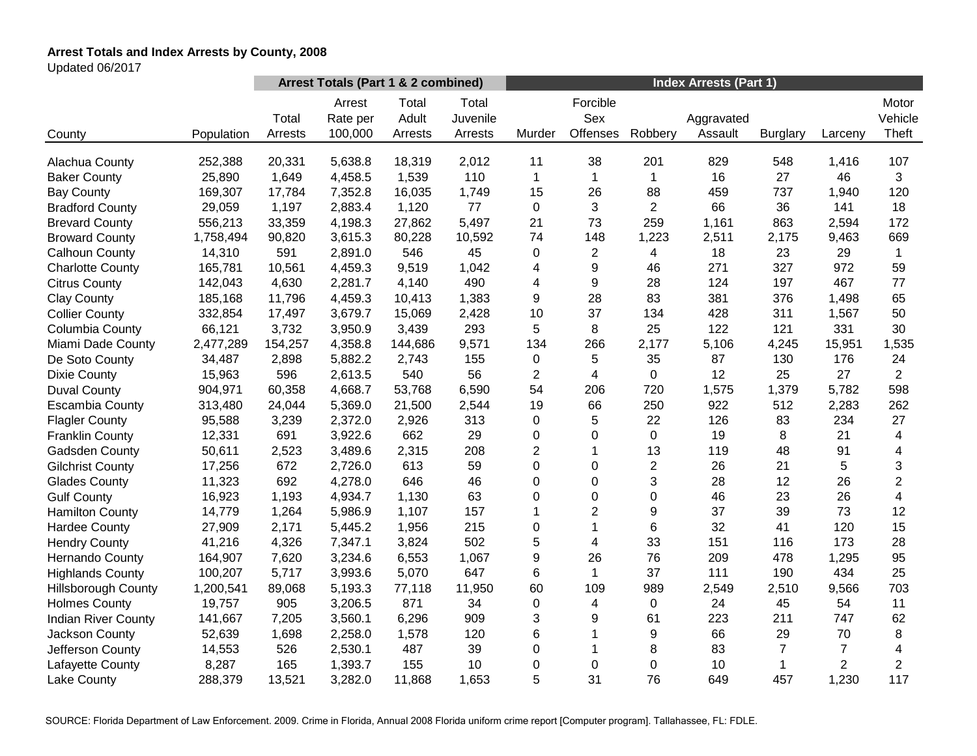# **Arrest Totals and Index Arrests by County, 2008**

Updated 06/2017

|                            |            | Arrest Totals (Part 1 & 2 combined) |                               |                           |                              | <b>Index Arrests (Part 1)</b> |                             |                |                       |                 |                |                           |
|----------------------------|------------|-------------------------------------|-------------------------------|---------------------------|------------------------------|-------------------------------|-----------------------------|----------------|-----------------------|-----------------|----------------|---------------------------|
| County                     | Population | Total<br>Arrests                    | Arrest<br>Rate per<br>100,000 | Total<br>Adult<br>Arrests | Total<br>Juvenile<br>Arrests | Murder                        | Forcible<br>Sex<br>Offenses | Robbery        | Aggravated<br>Assault | <b>Burglary</b> | Larceny        | Motor<br>Vehicle<br>Theft |
| Alachua County             | 252,388    | 20,331                              | 5,638.8                       | 18,319                    | 2,012                        | 11                            | 38                          | 201            | 829                   | 548             | 1,416          | 107                       |
| <b>Baker County</b>        | 25,890     | 1,649                               | 4,458.5                       | 1,539                     | 110                          | 1                             | $\mathbf{1}$                | 1              | 16                    | 27              | 46             | 3                         |
| <b>Bay County</b>          | 169,307    | 17,784                              | 7,352.8                       | 16,035                    | 1,749                        | 15                            | 26                          | 88             | 459                   | 737             | 1,940          | 120                       |
| <b>Bradford County</b>     | 29,059     | 1,197                               | 2,883.4                       | 1,120                     | 77                           | 0                             | 3                           | $\overline{2}$ | 66                    | 36              | 141            | 18                        |
| <b>Brevard County</b>      | 556,213    | 33,359                              | 4,198.3                       | 27,862                    | 5,497                        | 21                            | 73                          | 259            | 1,161                 | 863             | 2,594          | 172                       |
| <b>Broward County</b>      | 1,758,494  | 90,820                              | 3,615.3                       | 80,228                    | 10,592                       | 74                            | 148                         | 1,223          | 2,511                 | 2,175           | 9,463          | 669                       |
| Calhoun County             | 14,310     | 591                                 | 2,891.0                       | 546                       | 45                           | 0                             | $\overline{2}$              | 4              | 18                    | 23              | 29             | $\mathbf{1}$              |
| <b>Charlotte County</b>    | 165,781    | 10,561                              | 4,459.3                       | 9,519                     | 1,042                        | 4                             | 9                           | 46             | 271                   | 327             | 972            | 59                        |
| <b>Citrus County</b>       | 142,043    | 4,630                               | 2,281.7                       | 4,140                     | 490                          | 4                             | 9                           | 28             | 124                   | 197             | 467            | 77                        |
| <b>Clay County</b>         | 185,168    | 11,796                              | 4,459.3                       | 10,413                    | 1,383                        | 9                             | 28                          | 83             | 381                   | 376             | 1,498          | 65                        |
| <b>Collier County</b>      | 332,854    | 17,497                              | 3,679.7                       | 15,069                    | 2,428                        | 10                            | 37                          | 134            | 428                   | 311             | 1,567          | 50                        |
| Columbia County            | 66,121     | 3,732                               | 3,950.9                       | 3,439                     | 293                          | 5                             | 8                           | 25             | 122                   | 121             | 331            | 30                        |
| Miami Dade County          | 2,477,289  | 154,257                             | 4,358.8                       | 144,686                   | 9,571                        | 134                           | 266                         | 2,177          | 5,106                 | 4,245           | 15,951         | 1,535                     |
| De Soto County             | 34,487     | 2,898                               | 5,882.2                       | 2,743                     | 155                          | $\pmb{0}$                     | 5                           | 35             | 87                    | 130             | 176            | 24                        |
| <b>Dixie County</b>        | 15,963     | 596                                 | 2,613.5                       | 540                       | 56                           | $\overline{2}$                | $\overline{4}$              | 0              | 12                    | 25              | 27             | $\overline{2}$            |
| <b>Duval County</b>        | 904,971    | 60,358                              | 4,668.7                       | 53,768                    | 6,590                        | 54                            | 206                         | 720            | 1,575                 | 1,379           | 5,782          | 598                       |
| <b>Escambia County</b>     | 313,480    | 24,044                              | 5,369.0                       | 21,500                    | 2,544                        | 19                            | 66                          | 250            | 922                   | 512             | 2,283          | 262                       |
| <b>Flagler County</b>      | 95,588     | 3,239                               | 2,372.0                       | 2,926                     | 313                          | 0                             | 5                           | 22             | 126                   | 83              | 234            | 27                        |
| <b>Franklin County</b>     | 12,331     | 691                                 | 3,922.6                       | 662                       | 29                           | 0                             | 0                           | $\pmb{0}$      | 19                    | 8               | 21             | $\overline{4}$            |
| Gadsden County             | 50,611     | 2,523                               | 3,489.6                       | 2,315                     | 208                          | $\overline{c}$                | 1                           | 13             | 119                   | 48              | 91             | $\overline{\mathbf{4}}$   |
| <b>Gilchrist County</b>    | 17,256     | 672                                 | 2,726.0                       | 613                       | 59                           | 0                             | 0                           | $\overline{c}$ | 26                    | 21              | 5              | 3                         |
| <b>Glades County</b>       | 11,323     | 692                                 | 4,278.0                       | 646                       | 46                           | 0                             | 0                           | 3              | 28                    | 12              | 26             | $\overline{2}$            |
| <b>Gulf County</b>         | 16,923     | 1,193                               | 4,934.7                       | 1,130                     | 63                           | 0                             | 0                           | 0              | 46                    | 23              | 26             | $\overline{4}$            |
| <b>Hamilton County</b>     | 14,779     | 1,264                               | 5,986.9                       | 1,107                     | 157                          | 1                             | $\overline{c}$              | 9              | 37                    | 39              | 73             | 12                        |
| <b>Hardee County</b>       | 27,909     | 2,171                               | 5,445.2                       | 1,956                     | 215                          | 0                             | 1                           | 6              | 32                    | 41              | 120            | 15                        |
| <b>Hendry County</b>       | 41,216     | 4,326                               | 7,347.1                       | 3,824                     | 502                          | 5                             | 4                           | 33             | 151                   | 116             | 173            | 28                        |
| <b>Hernando County</b>     | 164,907    | 7,620                               | 3,234.6                       | 6,553                     | 1,067                        | 9                             | 26                          | 76             | 209                   | 478             | 1,295          | 95                        |
| <b>Highlands County</b>    | 100,207    | 5,717                               | 3,993.6                       | 5,070                     | 647                          | 6                             | $\mathbf{1}$                | 37             | 111                   | 190             | 434            | 25                        |
| <b>Hillsborough County</b> | 1,200,541  | 89,068                              | 5,193.3                       | 77,118                    | 11,950                       | 60                            | 109                         | 989            | 2,549                 | 2,510           | 9,566          | 703                       |
| <b>Holmes County</b>       | 19,757     | 905                                 | 3,206.5                       | 871                       | 34                           | 0                             | 4                           | $\mathbf 0$    | 24                    | 45              | 54             | 11                        |
| <b>Indian River County</b> | 141,667    | 7,205                               | 3,560.1                       | 6,296                     | 909                          | 3                             | 9                           | 61             | 223                   | 211             | 747            | 62                        |
| Jackson County             | 52,639     | 1,698                               | 2,258.0                       | 1,578                     | 120                          | 6                             | 1                           | 9              | 66                    | 29              | 70             | 8                         |
| Jefferson County           | 14,553     | 526                                 | 2,530.1                       | 487                       | 39                           | $\mathbf 0$                   | 1                           | 8              | 83                    | $\overline{7}$  | $\overline{7}$ | 4                         |
| Lafayette County           | 8,287      | 165                                 | 1,393.7                       | 155                       | 10                           | 0                             | 0                           | 0              | 10                    | 1               | $\overline{2}$ | $\overline{2}$            |
| Lake County                | 288,379    | 13,521                              | 3,282.0                       | 11,868                    | 1,653                        | 5                             | 31                          | 76             | 649                   | 457             | 1,230          | 117                       |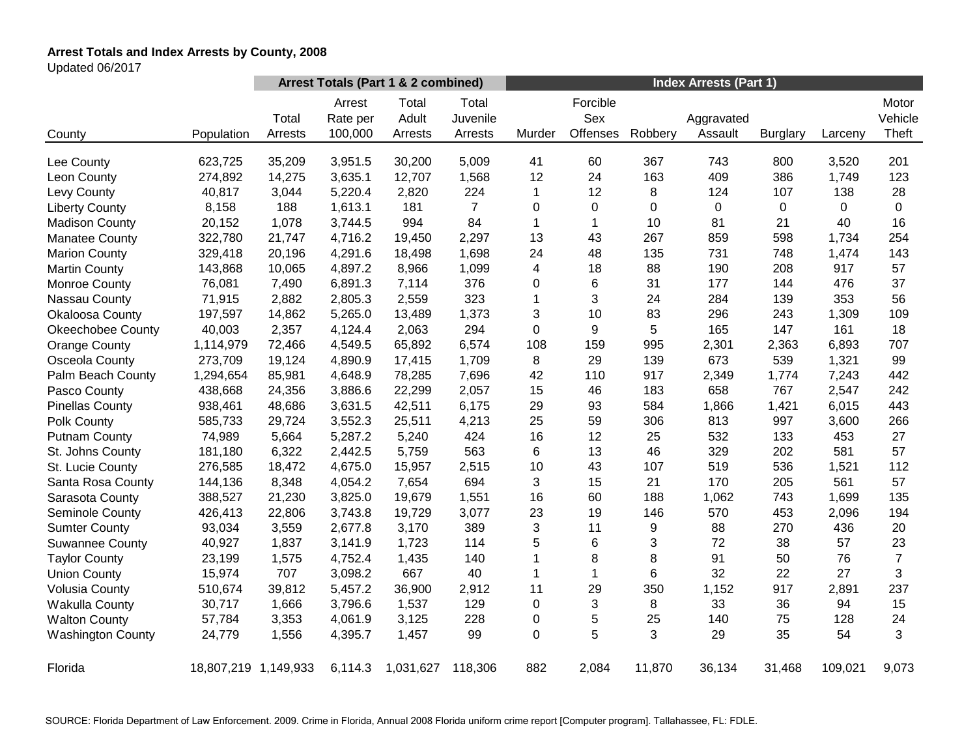# **Arrest Totals and Index Arrests by County, 2008**

Updated 06/2017

|                          |                      | Arrest Totals (Part 1 & 2 combined) |                               |                           |                              | <b>Index Arrests (Part 1)</b> |                             |             |                       |                 |         |                           |
|--------------------------|----------------------|-------------------------------------|-------------------------------|---------------------------|------------------------------|-------------------------------|-----------------------------|-------------|-----------------------|-----------------|---------|---------------------------|
| County                   | Population           | Total<br>Arrests                    | Arrest<br>Rate per<br>100,000 | Total<br>Adult<br>Arrests | Total<br>Juvenile<br>Arrests | Murder                        | Forcible<br>Sex<br>Offenses | Robbery     | Aggravated<br>Assault | <b>Burglary</b> | Larceny | Motor<br>Vehicle<br>Theft |
| Lee County               | 623,725              | 35,209                              | 3,951.5                       | 30,200                    | 5,009                        | 41                            | 60                          | 367         | 743                   | 800             | 3,520   | 201                       |
| Leon County              | 274,892              | 14,275                              | 3,635.1                       | 12,707                    | 1,568                        | 12                            | 24                          | 163         | 409                   | 386             | 1,749   | 123                       |
| Levy County              | 40,817               | 3,044                               | 5,220.4                       | 2,820                     | 224                          | 1                             | 12                          | 8           | 124                   | 107             | 138     | 28                        |
| <b>Liberty County</b>    | 8,158                | 188                                 | 1,613.1                       | 181                       | $\overline{7}$               | 0                             | $\mathbf 0$                 | $\mathbf 0$ | $\pmb{0}$             | 0               | 0       | $\Omega$                  |
| <b>Madison County</b>    | 20,152               | 1,078                               | 3,744.5                       | 994                       | 84                           | 1                             | $\mathbf{1}$                | 10          | 81                    | 21              | 40      | 16                        |
| <b>Manatee County</b>    | 322,780              | 21,747                              | 4,716.2                       | 19,450                    | 2,297                        | 13                            | 43                          | 267         | 859                   | 598             | 1,734   | 254                       |
| <b>Marion County</b>     | 329,418              | 20,196                              | 4,291.6                       | 18,498                    | 1,698                        | 24                            | 48                          | 135         | 731                   | 748             | 1,474   | 143                       |
| <b>Martin County</b>     | 143,868              | 10,065                              | 4,897.2                       | 8,966                     | 1,099                        | 4                             | 18                          | 88          | 190                   | 208             | 917     | 57                        |
| Monroe County            | 76,081               | 7,490                               | 6,891.3                       | 7,114                     | 376                          | 0                             | 6                           | 31          | 177                   | 144             | 476     | 37                        |
| Nassau County            | 71,915               | 2,882                               | 2,805.3                       | 2,559                     | 323                          | 1                             | 3                           | 24          | 284                   | 139             | 353     | 56                        |
| Okaloosa County          | 197,597              | 14,862                              | 5,265.0                       | 13,489                    | 1,373                        | 3                             | 10                          | 83          | 296                   | 243             | 1,309   | 109                       |
| <b>Okeechobee County</b> | 40,003               | 2,357                               | 4,124.4                       | 2,063                     | 294                          | 0                             | 9                           | 5           | 165                   | 147             | 161     | 18                        |
| <b>Orange County</b>     | 1,114,979            | 72,466                              | 4,549.5                       | 65,892                    | 6,574                        | 108                           | 159                         | 995         | 2,301                 | 2,363           | 6,893   | 707                       |
| Osceola County           | 273,709              | 19,124                              | 4,890.9                       | 17,415                    | 1,709                        | 8                             | 29                          | 139         | 673                   | 539             | 1,321   | 99                        |
| Palm Beach County        | 1,294,654            | 85,981                              | 4,648.9                       | 78,285                    | 7,696                        | 42                            | 110                         | 917         | 2,349                 | 1,774           | 7,243   | 442                       |
| Pasco County             | 438,668              | 24,356                              | 3,886.6                       | 22,299                    | 2,057                        | 15                            | 46                          | 183         | 658                   | 767             | 2,547   | 242                       |
| <b>Pinellas County</b>   | 938,461              | 48,686                              | 3,631.5                       | 42,511                    | 6,175                        | 29                            | 93                          | 584         | 1,866                 | 1,421           | 6,015   | 443                       |
| Polk County              | 585,733              | 29,724                              | 3,552.3                       | 25,511                    | 4,213                        | 25                            | 59                          | 306         | 813                   | 997             | 3,600   | 266                       |
| <b>Putnam County</b>     | 74,989               | 5,664                               | 5,287.2                       | 5,240                     | 424                          | 16                            | 12                          | 25          | 532                   | 133             | 453     | 27                        |
| St. Johns County         | 181,180              | 6,322                               | 2,442.5                       | 5,759                     | 563                          | 6                             | 13                          | 46          | 329                   | 202             | 581     | 57                        |
| St. Lucie County         | 276,585              | 18,472                              | 4,675.0                       | 15,957                    | 2,515                        | 10                            | 43                          | 107         | 519                   | 536             | 1,521   | 112                       |
| Santa Rosa County        | 144,136              | 8,348                               | 4,054.2                       | 7,654                     | 694                          | 3                             | 15                          | 21          | 170                   | 205             | 561     | 57                        |
| Sarasota County          | 388,527              | 21,230                              | 3,825.0                       | 19,679                    | 1,551                        | 16                            | 60                          | 188         | 1,062                 | 743             | 1,699   | 135                       |
| Seminole County          | 426,413              | 22,806                              | 3,743.8                       | 19,729                    | 3,077                        | 23                            | 19                          | 146         | 570                   | 453             | 2,096   | 194                       |
| <b>Sumter County</b>     | 93,034               | 3,559                               | 2,677.8                       | 3,170                     | 389                          | 3                             | 11                          | 9           | 88                    | 270             | 436     | 20                        |
| <b>Suwannee County</b>   | 40,927               | 1,837                               | 3,141.9                       | 1,723                     | 114                          | 5                             | 6                           | 3           | 72                    | 38              | 57      | 23                        |
| <b>Taylor County</b>     | 23,199               | 1,575                               | 4,752.4                       | 1,435                     | 140                          | 1                             | 8                           | 8           | 91                    | 50              | 76      | $\overline{7}$            |
| <b>Union County</b>      | 15,974               | 707                                 | 3,098.2                       | 667                       | 40                           | 1                             | 1                           | 6           | 32                    | 22              | 27      | 3                         |
| <b>Volusia County</b>    | 510,674              | 39,812                              | 5,457.2                       | 36,900                    | 2,912                        | 11                            | 29                          | 350         | 1,152                 | 917             | 2,891   | 237                       |
| <b>Wakulla County</b>    | 30,717               | 1,666                               | 3,796.6                       | 1,537                     | 129                          | 0                             | 3                           | 8           | 33                    | 36              | 94      | 15                        |
| <b>Walton County</b>     | 57,784               | 3,353                               | 4,061.9                       | 3,125                     | 228                          | 0                             | 5                           | 25          | 140                   | 75              | 128     | 24                        |
| <b>Washington County</b> | 24,779               | 1,556                               | 4,395.7                       | 1,457                     | 99                           | 0                             | 5                           | 3           | 29                    | 35              | 54      | 3                         |
| Florida                  | 18,807,219 1,149,933 |                                     | 6,114.3                       | 1,031,627                 | 118,306                      | 882                           | 2,084                       | 11,870      | 36,134                | 31,468          | 109,021 | 9,073                     |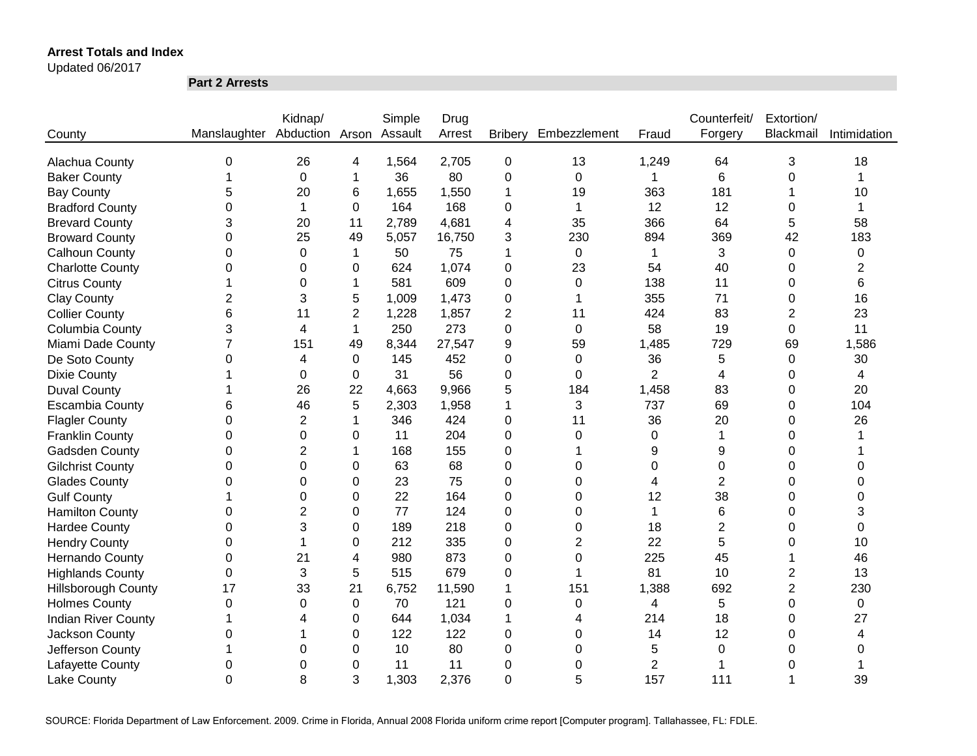Updated 06/2017

**Part 2 Arrests**

|                            |                              | Kidnap/        |                | Simple  | Drug   |                |                |                | Counterfeit/   | Extortion/     |              |
|----------------------------|------------------------------|----------------|----------------|---------|--------|----------------|----------------|----------------|----------------|----------------|--------------|
| County                     | Manslaughter Abduction Arson |                |                | Assault | Arrest | <b>Bribery</b> | Embezzlement   | Fraud          | Forgery        | Blackmail      | Intimidation |
|                            |                              |                |                |         |        |                |                |                |                |                |              |
| Alachua County             | 0                            | 26             | 4              | 1,564   | 2,705  | $\mathbf 0$    | 13             | 1,249          | 64             | 3              | 18           |
| <b>Baker County</b>        |                              | $\mathbf 0$    | 1              | 36      | 80     | 0              | $\mathbf 0$    | 1              | 6              | 0              |              |
| <b>Bay County</b>          | 5                            | 20             | 6              | 1,655   | 1,550  | 1              | 19             | 363            | 181            |                | 10           |
| <b>Bradford County</b>     | 0                            | 1              | 0              | 164     | 168    | 0              | 1              | 12             | 12             | 0              | 1            |
| <b>Brevard County</b>      | 3                            | 20             | 11             | 2,789   | 4,681  | 4              | 35             | 366            | 64             | 5              | 58           |
| <b>Broward County</b>      | 0                            | 25             | 49             | 5,057   | 16,750 | 3              | 230            | 894            | 369            | 42             | 183          |
| <b>Calhoun County</b>      | 0                            | $\Omega$       | $\mathbf{1}$   | 50      | 75     | 1              | $\mathbf 0$    | 1              | 3              | $\mathbf 0$    | 0            |
| <b>Charlotte County</b>    | 0                            | 0              | 0              | 624     | 1,074  | 0              | 23             | 54             | 40             | 0              | 2            |
| <b>Citrus County</b>       |                              | 0              | 1              | 581     | 609    | 0              | 0              | 138            | 11             | 0              | 6            |
| <b>Clay County</b>         | $\overline{2}$               | 3              | 5              | 1,009   | 1,473  | 0              | 1              | 355            | 71             | 0              | 16           |
| <b>Collier County</b>      | 6                            | 11             | $\overline{2}$ | 1,228   | 1,857  | 2              | 11             | 424            | 83             | $\overline{2}$ | 23           |
| Columbia County            | 3                            | 4              | 1              | 250     | 273    | 0              | $\mathbf 0$    | 58             | 19             | $\mathbf 0$    | 11           |
| Miami Dade County          | $\overline{7}$               | 151            | 49             | 8,344   | 27,547 | 9              | 59             | 1,485          | 729            | 69             | 1,586        |
| De Soto County             | 0                            | 4              | $\Omega$       | 145     | 452    | 0              | $\Omega$       | 36             | 5              | 0              | 30           |
| <b>Dixie County</b>        |                              | 0              | $\Omega$       | 31      | 56     | 0              | $\Omega$       | $\overline{2}$ | 4              | 0              | 4            |
| <b>Duval County</b>        |                              | 26             | 22             | 4,663   | 9,966  | 5              | 184            | 1,458          | 83             | 0              | 20           |
| <b>Escambia County</b>     | 6                            | 46             | 5              | 2,303   | 1,958  | 1              | 3              | 737            | 69             | 0              | 104          |
| <b>Flagler County</b>      | $\Omega$                     | 2              | 1              | 346     | 424    | 0              | 11             | 36             | 20             | 0              | 26           |
| <b>Franklin County</b>     | 0                            | $\Omega$       | 0              | 11      | 204    | 0              | $\Omega$       | 0              | 1              | 0              |              |
| Gadsden County             | 0                            | $\overline{2}$ | 1              | 168     | 155    | 0              |                | 9              | 9              | $\Omega$       |              |
| <b>Gilchrist County</b>    | 0                            | $\Omega$       | 0              | 63      | 68     | 0              | $\Omega$       | 0              | 0              | 0              | O            |
| <b>Glades County</b>       | 0                            | $\Omega$       | 0              | 23      | 75     | 0              | $\Omega$       | 4              | $\overline{2}$ | 0              | 0            |
| <b>Gulf County</b>         |                              | $\Omega$       | 0              | 22      | 164    | 0              | $\Omega$       | 12             | 38             | 0              | 0            |
| <b>Hamilton County</b>     | 0                            | $\overline{2}$ | 0              | 77      | 124    | 0              | $\Omega$       | 1              | 6              | 0              | 3            |
| <b>Hardee County</b>       | 0                            | 3              | 0              | 189     | 218    | 0              | $\Omega$       | 18             | $\overline{2}$ | 0              | $\Omega$     |
| <b>Hendry County</b>       | 0                            |                | 0              | 212     | 335    | 0              | $\overline{2}$ | 22             | 5              | 0              | 10           |
| <b>Hernando County</b>     | 0                            | 21             | 4              | 980     | 873    | 0              | 0              | 225            | 45             |                | 46           |
| <b>Highlands County</b>    | 0                            | 3              | 5              | 515     | 679    | 0              | 1              | 81             | 10             | 2              | 13           |
| <b>Hillsborough County</b> | 17                           | 33             | 21             | 6,752   | 11,590 | 1              | 151            | 1,388          | 692            | 2              | 230          |
| <b>Holmes County</b>       | 0                            | 0              | 0              | 70      | 121    | 0              | $\mathbf 0$    | 4              | 5              | $\mathbf 0$    | $\mathbf 0$  |
| <b>Indian River County</b> |                              | 4              | 0              | 644     | 1,034  | 1              | 4              | 214            | 18             | 0              | 27           |
| Jackson County             | 0                            |                | 0              | 122     | 122    | 0              | 0              | 14             | 12             | 0              | 4            |
| Jefferson County           |                              | 0              | 0              | 10      | 80     | 0              | 0              | 5              | 0              | 0              | 0            |
| Lafayette County           | 0                            | 0              | 0              | 11      | 11     | 0              | 0              | $\overline{2}$ |                | 0              |              |
| <b>Lake County</b>         | 0                            | 8              | 3              | 1,303   | 2,376  | 0              | 5              | 157            | 111            |                | 39           |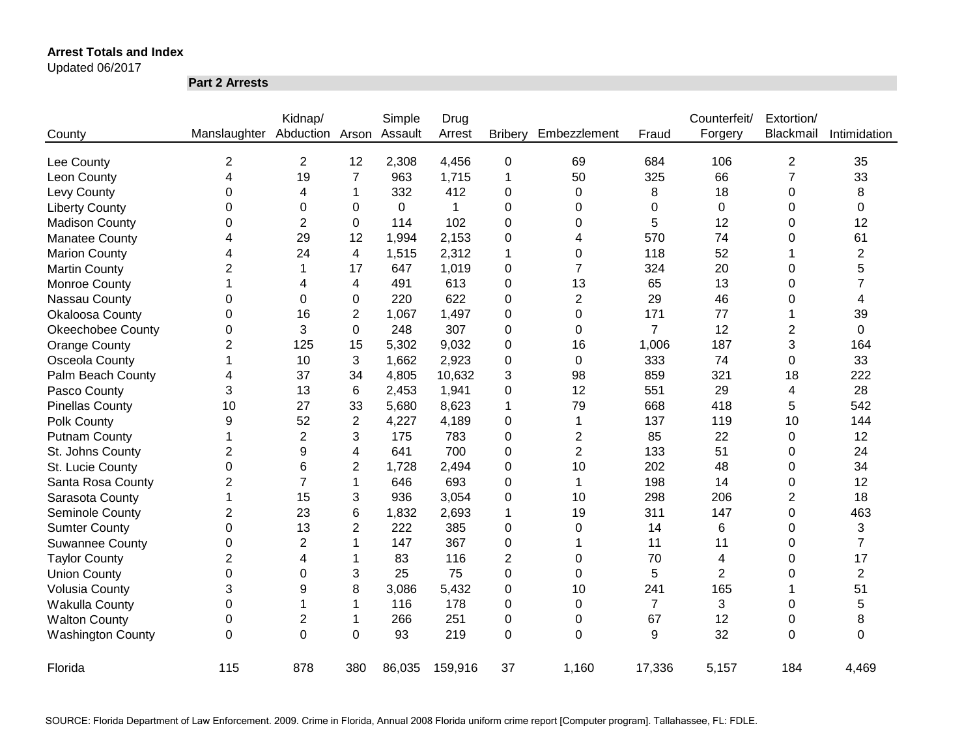#### Updated 06/2017

**Part 2 Arrests**

|                          |                         | Kidnap/        |                | Simple      | Drug    |                |                |                | Counterfeit/   | Extortion/     |                |
|--------------------------|-------------------------|----------------|----------------|-------------|---------|----------------|----------------|----------------|----------------|----------------|----------------|
| County                   | Manslaughter            | Abduction      | Arson          | Assault     | Arrest  | <b>Bribery</b> | Embezzlement   | Fraud          | Forgery        | Blackmail      | Intimidation   |
| Lee County               | 2                       | $\overline{2}$ | 12             | 2,308       | 4,456   | 0              | 69             | 684            | 106            | $\overline{2}$ | 35             |
| Leon County              | $\overline{\mathbf{4}}$ | 19             | 7              | 963         | 1,715   | 1              | 50             | 325            | 66             | 7              | 33             |
| Levy County              | 0                       | 4              | 1              | 332         | 412     | 0              | 0              | 8              | 18             | 0              | 8              |
| <b>Liberty County</b>    | 0                       | 0              | 0              | $\mathbf 0$ | 1       | 0              | 0              | 0              | $\mathbf 0$    | 0              | 0              |
| <b>Madison County</b>    | 0                       | $\overline{2}$ | 0              | 114         | 102     | 0              | 0              | 5              | 12             | 0              | 12             |
| <b>Manatee County</b>    | 4                       | 29             | 12             | 1,994       | 2,153   | 0              | 4              | 570            | 74             | 0              | 61             |
| <b>Marion County</b>     | 4                       | 24             | 4              | 1,515       | 2,312   | 1              | 0              | 118            | 52             |                | $\overline{2}$ |
| <b>Martin County</b>     | $\overline{2}$          | 1              | 17             | 647         | 1,019   | 0              | $\overline{7}$ | 324            | 20             | 0              | 5              |
| Monroe County            | 1                       | 4              | 4              | 491         | 613     | 0              | 13             | 65             | 13             | 0              | 7              |
| Nassau County            | 0                       | 0              | 0              | 220         | 622     | 0              | $\overline{2}$ | 29             | 46             | 0              | 4              |
| Okaloosa County          | 0                       | 16             | $\overline{c}$ | 1,067       | 1,497   | 0              | 0              | 171            | 77             |                | 39             |
| <b>Okeechobee County</b> | 0                       | 3              | 0              | 248         | 307     | 0              | 0              | $\overline{7}$ | 12             | 2              | 0              |
| <b>Orange County</b>     | $\overline{2}$          | 125            | 15             | 5,302       | 9,032   | 0              | 16             | 1,006          | 187            | 3              | 164            |
| Osceola County           | 1                       | 10             | 3              | 1,662       | 2,923   | 0              | 0              | 333            | 74             | 0              | 33             |
| Palm Beach County        | 4                       | 37             | 34             | 4,805       | 10,632  | 3              | 98             | 859            | 321            | 18             | 222            |
| Pasco County             | 3                       | 13             | 6              | 2,453       | 1,941   | 0              | 12             | 551            | 29             | 4              | 28             |
| <b>Pinellas County</b>   | 10                      | 27             | 33             | 5,680       | 8,623   | 1              | 79             | 668            | 418            | 5              | 542            |
| Polk County              | 9                       | 52             | $\mathbf{2}$   | 4,227       | 4,189   | 0              | 1              | 137            | 119            | 10             | 144            |
| <b>Putnam County</b>     | 1                       | $\overline{2}$ | 3              | 175         | 783     | 0              | $\overline{2}$ | 85             | 22             | 0              | 12             |
| St. Johns County         | $\overline{2}$          | 9              | 4              | 641         | 700     | 0              | $\overline{2}$ | 133            | 51             | 0              | 24             |
| St. Lucie County         | $\mathbf 0$             | 6              | 2              | 1,728       | 2,494   | 0              | 10             | 202            | 48             | 0              | 34             |
| Santa Rosa County        | $\overline{2}$          | $\overline{7}$ | 1              | 646         | 693     | 0              | 1              | 198            | 14             | 0              | 12             |
| Sarasota County          | 1                       | 15             | 3              | 936         | 3,054   | 0              | 10             | 298            | 206            | 2              | 18             |
| Seminole County          | $\overline{2}$          | 23             | 6              | 1,832       | 2,693   | 1              | 19             | 311            | 147            | 0              | 463            |
| <b>Sumter County</b>     | 0                       | 13             | 2              | 222         | 385     | 0              | 0              | 14             | 6              | 0              | 3              |
| <b>Suwannee County</b>   | 0                       | $\overline{2}$ | 1              | 147         | 367     | 0              | 1              | 11             | 11             | 0              | $\overline{7}$ |
| <b>Taylor County</b>     | $\overline{2}$          | 4              | 1              | 83          | 116     | 2              | $\Omega$       | 70             | 4              | 0              | 17             |
| <b>Union County</b>      | 0                       | 0              | 3              | 25          | 75      | 0              | $\Omega$       | 5              | $\overline{2}$ | 0              | $\overline{2}$ |
| <b>Volusia County</b>    | 3                       | 9              | 8              | 3,086       | 5,432   | 0              | 10             | 241            | 165            |                | 51             |
| Wakulla County           | 0                       |                | 1              | 116         | 178     | 0              | 0              | $\overline{7}$ | 3              | 0              | 5              |
| <b>Walton County</b>     | 0                       | $\overline{2}$ | 1              | 266         | 251     | 0              | 0              | 67             | 12             | 0              | 8              |
| <b>Washington County</b> | $\mathbf 0$             | $\overline{0}$ | $\mathbf 0$    | 93          | 219     | 0              | $\Omega$       | 9              | 32             | $\overline{0}$ | 0              |
| Florida                  | 115                     | 878            | 380            | 86,035      | 159,916 | 37             | 1,160          | 17,336         | 5,157          | 184            | 4,469          |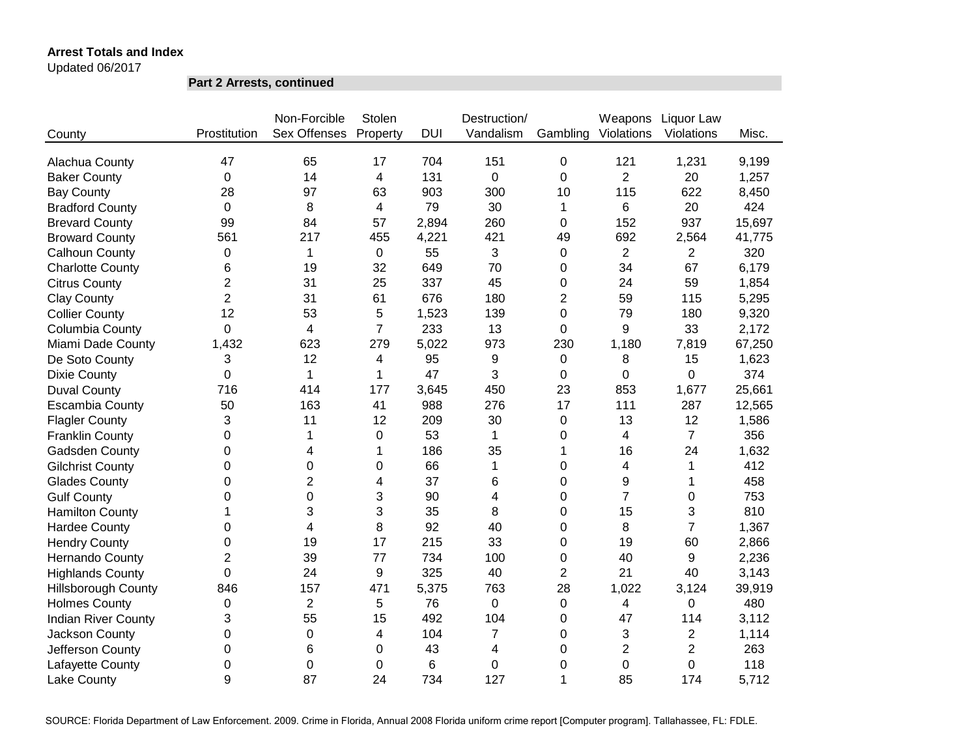Updated 06/2017

**Part 2 Arrests, continued**

|                            |                | Non-Forcible   | Stolen                  |            | Destruction/   |             | Weapons                 | Liquor Law     |        |
|----------------------------|----------------|----------------|-------------------------|------------|----------------|-------------|-------------------------|----------------|--------|
| County                     | Prostitution   | Sex Offenses   | Property                | <b>DUI</b> | Vandalism      | Gambling    | Violations              | Violations     | Misc.  |
|                            |                |                |                         |            |                |             |                         |                |        |
| Alachua County             | 47             | 65             | 17                      | 704        | 151            | $\mathbf 0$ | 121                     | 1,231          | 9,199  |
| <b>Baker County</b>        | 0              | 14             | 4                       | 131        | 0              | 0           | $\overline{2}$          | 20             | 1,257  |
| <b>Bay County</b>          | 28             | 97             | 63                      | 903        | 300            | 10          | 115                     | 622            | 8,450  |
| <b>Bradford County</b>     | 0              | 8              | 4                       | 79         | 30             | 1           | 6                       | 20             | 424    |
| <b>Brevard County</b>      | 99             | 84             | 57                      | 2,894      | 260            | 0           | 152                     | 937            | 15,697 |
| <b>Broward County</b>      | 561            | 217            | 455                     | 4,221      | 421            | 49          | 692                     | 2,564          | 41,775 |
| Calhoun County             | $\mathbf 0$    | $\mathbf{1}$   | 0                       | 55         | 3              | 0           | $\overline{2}$          | $\overline{2}$ | 320    |
| <b>Charlotte County</b>    | 6              | 19             | 32                      | 649        | 70             | 0           | 34                      | 67             | 6,179  |
| <b>Citrus County</b>       | $\overline{2}$ | 31             | 25                      | 337        | 45             | 0           | 24                      | 59             | 1,854  |
| <b>Clay County</b>         | $\overline{2}$ | 31             | 61                      | 676        | 180            | 2           | 59                      | 115            | 5,295  |
| <b>Collier County</b>      | 12             | 53             | 5                       | 1,523      | 139            | 0           | 79                      | 180            | 9,320  |
| Columbia County            | 0              | 4              | $\overline{7}$          | 233        | 13             | $\Omega$    | 9                       | 33             | 2,172  |
| Miami Dade County          | 1,432          | 623            | 279                     | 5,022      | 973            | 230         | 1,180                   | 7,819          | 67,250 |
| De Soto County             | 3              | 12             | $\overline{\mathbf{4}}$ | 95         | 9              | 0           | 8                       | 15             | 1,623  |
| <b>Dixie County</b>        | 0              | 1              | 1                       | 47         | 3              | 0           | $\Omega$                | $\mathbf 0$    | 374    |
| <b>Duval County</b>        | 716            | 414            | 177                     | 3,645      | 450            | 23          | 853                     | 1,677          | 25,661 |
| <b>Escambia County</b>     | 50             | 163            | 41                      | 988        | 276            | 17          | 111                     | 287            | 12,565 |
| <b>Flagler County</b>      | 3              | 11             | 12                      | 209        | 30             | 0           | 13                      | 12             | 1,586  |
| <b>Franklin County</b>     | 0              | 1              | $\boldsymbol{0}$        | 53         | $\mathbf 1$    | 0           | 4                       | $\overline{7}$ | 356    |
| Gadsden County             | 0              | 4              | 1                       | 186        | 35             | 1           | 16                      | 24             | 1,632  |
| <b>Gilchrist County</b>    | 0              | 0              | $\mathbf 0$             | 66         | $\mathbf{1}$   | 0           | 4                       | $\mathbf 1$    | 412    |
| <b>Glades County</b>       | 0              | $\overline{2}$ | $\overline{\mathbf{4}}$ | 37         | 6              | 0           | 9                       | 1              | 458    |
| <b>Gulf County</b>         | 0              | 0              | 3                       | 90         | 4              | 0           | $\overline{7}$          | 0              | 753    |
| <b>Hamilton County</b>     | 1              | 3              | 3                       | 35         | 8              | 0           | 15                      | 3              | 810    |
| <b>Hardee County</b>       | 0              | $\overline{4}$ | 8                       | 92         | 40             | 0           | 8                       | $\overline{7}$ | 1,367  |
| <b>Hendry County</b>       | 0              | 19             | 17                      | 215        | 33             | 0           | 19                      | 60             | 2,866  |
| Hernando County            | $\overline{2}$ | 39             | 77                      | 734        | 100            | 0           | 40                      | 9              | 2,236  |
| <b>Highlands County</b>    | 0              | 24             | 9                       | 325        | 40             | 2           | 21                      | 40             | 3,143  |
| Hillsborough County        | 846            | 157            | 471                     | 5,375      | 763            | 28          | 1,022                   | 3,124          | 39,919 |
| <b>Holmes County</b>       | 0              | $\overline{2}$ | 5                       | 76         | 0              | $\pmb{0}$   | $\overline{\mathbf{4}}$ | 0              | 480    |
| <b>Indian River County</b> | 3              | 55             | 15                      | 492        | 104            | 0           | 47                      | 114            | 3,112  |
| Jackson County             | 0              | 0              | $\overline{\mathbf{4}}$ | 104        | $\overline{7}$ | 0           | 3                       | $\overline{2}$ | 1,114  |
| Jefferson County           | 0              | 6              | 0                       | 43         | 4              | 0           | $\overline{2}$          | $\overline{2}$ | 263    |
| Lafayette County           | 0              | 0              | 0                       | 6          | $\mathbf 0$    | 0           | 0                       | $\overline{0}$ | 118    |
| Lake County                | 9              | 87             | 24                      | 734        | 127            | 1           | 85                      | 174            | 5,712  |